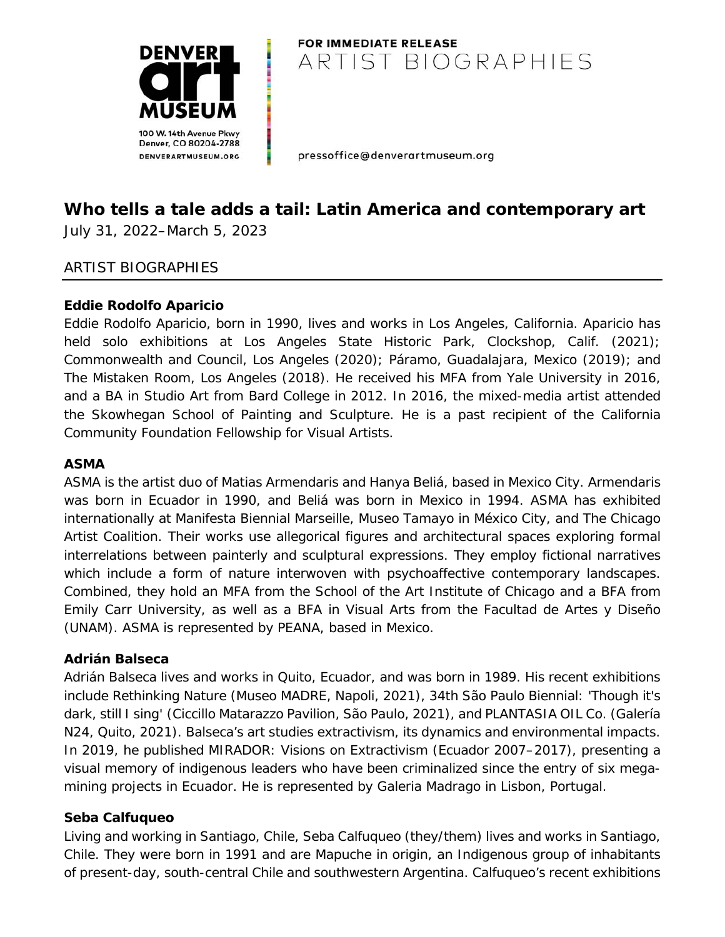

# **FOR IMMEDIATE RELEASE** ARTIST BIOGRAPHIES

pressoffice@denverartmuseum.org

# *Who tells a tale adds a tail: Latin America and contemporary art*

July 31, 2022–March 5, 2023

### ARTIST BIOGRAPHIES

### **Eddie Rodolfo Aparicio**

Eddie Rodolfo Aparicio, born in 1990, lives and works in Los Angeles, California. Aparicio has held solo exhibitions at Los Angeles State Historic Park, Clockshop, Calif. (2021); Commonwealth and Council, Los Angeles (2020); Páramo, Guadalajara, Mexico (2019); and The Mistaken Room, Los Angeles (2018). He received his MFA from Yale University in 2016, and a BA in Studio Art from Bard College in 2012. In 2016, the mixed-media artist attended the Skowhegan School of Painting and Sculpture. He is a past recipient of the California Community Foundation Fellowship for Visual Artists.

#### **ASMA**

ASMA is the artist duo of Matias Armendaris and Hanya Beliá, based in Mexico City. Armendaris was born in Ecuador in 1990, and Beliá was born in Mexico in 1994. ASMA has exhibited internationally at Manifesta Biennial Marseille, Museo Tamayo in México City, and The Chicago Artist Coalition. Their works use allegorical figures and architectural spaces exploring formal interrelations between painterly and sculptural expressions. They employ fictional narratives which include a form of nature interwoven with psychoaffective contemporary landscapes. Combined, they hold an MFA from the School of the Art Institute of Chicago and a BFA from Emily Carr University, as well as a BFA in Visual Arts from the Facultad de Artes y Diseño (UNAM). ASMA is represented by PEANA, based in Mexico.

#### **Adrián Balseca**

Adrián Balseca lives and works in Quito, Ecuador, and was born in 1989. His recent exhibitions include *Rethinking Nature* (Museo MADRE, Napoli, 2021), *34th São Paulo Biennial: 'Though it's dark, still I sing'* (Ciccillo Matarazzo Pavilion, São Paulo, 2021), and *PLANTASIA OIL Co.* (Galería N24, Quito, 2021). Balseca's art studies extractivism, its dynamics and environmental impacts. In 2019, he published *MIRADOR: Visions on Extractivism* (Ecuador 2007–2017), presenting a visual memory of indigenous leaders who have been criminalized since the entry of six megamining projects in Ecuador. He is represented by Galeria Madrago in Lisbon, Portugal.

### **Seba Calfuqueo**

Living and working in Santiago, Chile, Seba Calfuqueo (they/them) lives and works in Santiago, Chile. They were born in 1991 and are Mapuche in origin, an Indigenous group of inhabitants of present-day, south-central Chile and southwestern Argentina. Calfuqueo's recent exhibitions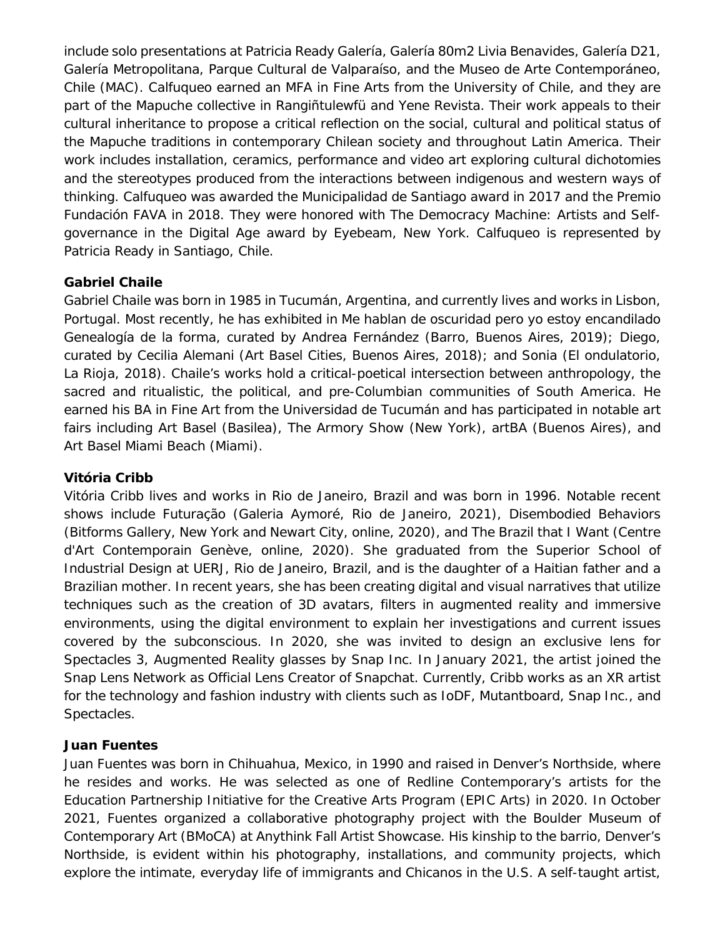include solo presentations at Patricia Ready Galería, Galería 80m2 Livia Benavides, Galería D21, Galería Metropolitana, Parque Cultural de Valparaíso, and the Museo de Arte Contemporáneo, Chile (MAC). Calfuqueo earned an MFA in Fine Arts from the University of Chile, and they are part of the Mapuche collective in Rangiñtulewfü and Yene Revista. Their work appeals to their cultural inheritance to propose a critical reflection on the social, cultural and political status of the Mapuche traditions in contemporary Chilean society and throughout Latin America. Their work includes installation, ceramics, performance and video art exploring cultural dichotomies and the stereotypes produced from the interactions between indigenous and western ways of thinking. Calfuqueo was awarded the Municipalidad de Santiago award in 2017 and the Premio Fundación FAVA in 2018. They were honored with The Democracy Machine: Artists and Selfgovernance in the Digital Age award by Eyebeam, New York. Calfuqueo is represented by Patricia Ready in Santiago, Chile.

### **Gabriel Chaile**

Gabriel Chaile was born in 1985 in Tucumán, Argentina, and currently lives and works in Lisbon, Portugal. Most recently, he has exhibited in *Me hablan de oscuridad pero yo estoy encandilado Genealogía de la forma,* curated by Andrea Fernández (Barro, Buenos Aires, 2019); *Diego*, curated by Cecilia Alemani (Art Basel Cities, Buenos Aires, 2018); and *Sonia* (El ondulatorio, La Rioja, 2018). Chaile's works hold a critical-poetical intersection between anthropology, the sacred and ritualistic, the political, and pre-Columbian communities of South America. He earned his BA in Fine Art from the Universidad de Tucumán and has participated in notable art fairs including Art Basel (Basilea), The Armory Show (New York), artBA (Buenos Aires), and Art Basel Miami Beach (Miami).

### **Vitória Cribb**

Vitória Cribb lives and works in Rio de Janeiro, Brazil and was born in 1996. Notable recent shows include *Futuração* (Galeria Aymoré, Rio de Janeiro, 2021), *Disembodied Behaviors* (Bitforms Gallery, New York and Newart City, online, 2020), and *The Brazil that I Want* (Centre d'Art Contemporain Genève, online, 2020). She graduated from the Superior School of Industrial Design at UERJ, Rio de Janeiro, Brazil, and is the daughter of a Haitian father and a Brazilian mother. In recent years, she has been creating digital and visual narratives that utilize techniques such as the creation of 3D avatars, filters in augmented reality and immersive environments, using the digital environment to explain her investigations and current issues covered by the subconscious. In 2020, she was invited to design an exclusive lens for Spectacles 3, Augmented Reality glasses by Snap Inc. In January 2021, the artist joined the Snap Lens Network as Official Lens Creator of Snapchat. Currently, Cribb works as an XR artist for the technology and fashion industry with clients such as IoDF, Mutantboard, Snap Inc., and Spectacles.

### **Juan Fuentes**

Juan Fuentes was born in Chihuahua, Mexico, in 1990 and raised in Denver's Northside, where he resides and works. He was selected as one of Redline Contemporary's artists for the Education Partnership Initiative for the Creative Arts Program (EPIC Arts) in 2020. In October 2021, Fuentes organized a collaborative photography project with the Boulder Museum of Contemporary Art (BMoCA) at Anythink Fall Artist Showcase. His kinship to the *barrio*, Denver's Northside, is evident within his photography, installations, and community projects, which explore the intimate, everyday life of immigrants and Chicanos in the U.S. A self-taught artist,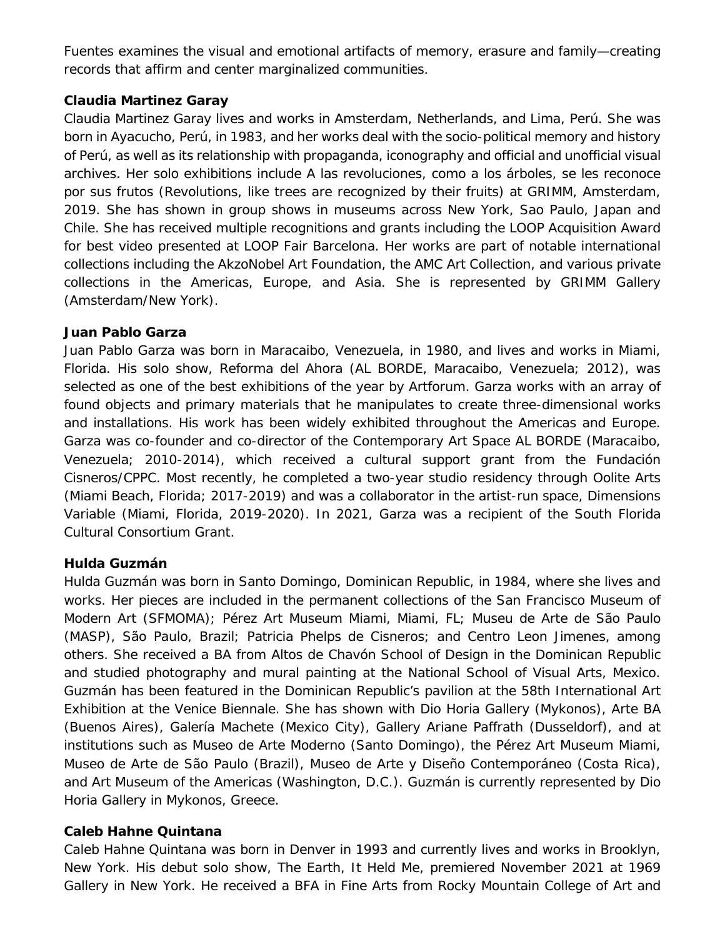Fuentes examines the visual and emotional artifacts of memory, erasure and family—creating records that affirm and center marginalized communities.

### **Claudia Martinez Garay**

Claudia Martinez Garay lives and works in Amsterdam, Netherlands, and Lima, Perú. She was born in Ayacucho, Perú, in 1983, and her works deal with the socio-political memory and history of Perú, as well as its relationship with propaganda, iconography and official and unofficial visual archives. Her solo exhibitions include *A las revoluciones, como a los árboles, se les reconoce por sus frutos (Revolutions, like trees are recognized by their fruits)* at GRIMM, Amsterdam, 2019. She has shown in group shows in museums across New York, Sao Paulo, Japan and Chile. She has received multiple recognitions and grants including the LOOP Acquisition Award for best video presented at LOOP Fair Barcelona. Her works are part of notable international collections including the AkzoNobel Art Foundation, the AMC Art Collection, and various private collections in the Americas, Europe, and Asia. She is represented by GRIMM Gallery (Amsterdam/New York).

#### **Juan Pablo Garza**

Juan Pablo Garza was born in Maracaibo, Venezuela, in 1980, and lives and works in Miami, Florida. His solo show, *Reforma del Ahora* (AL BORDE, Maracaibo, Venezuela; 2012), was selected as one of the best exhibitions of the year by *Artforum*. Garza works with an array of found objects and primary materials that he manipulates to create three-dimensional works and installations. His work has been widely exhibited throughout the Americas and Europe. Garza was co-founder and co-director of the Contemporary Art Space AL BORDE (Maracaibo, Venezuela; 2010-2014), which received a cultural support grant from the Fundación Cisneros/CPPC. Most recently, he completed a two-year studio residency through Oolite Arts (Miami Beach, Florida; 2017-2019) and was a collaborator in the artist-run space, Dimensions Variable (Miami, Florida, 2019-2020). In 2021, Garza was a recipient of the South Florida Cultural Consortium Grant.

### **Hulda Guzmán**

Hulda Guzmán was born in Santo Domingo, Dominican Republic, in 1984, where she lives and works. Her pieces are included in the permanent collections of the San Francisco Museum of Modern Art (SFMOMA); Pérez Art Museum Miami, Miami, FL; Museu de Arte de São Paulo (MASP), São Paulo, Brazil; Patricia Phelps de Cisneros; and Centro Leon Jimenes, among others. She received a BA from Altos de Chavón School of Design in the Dominican Republic and studied photography and mural painting at the National School of Visual Arts, Mexico. Guzmán has been featured in the Dominican Republic's pavilion at the 58th International Art Exhibition at the Venice Biennale. She has shown with Dio Horia Gallery (Mykonos), Arte BA (Buenos Aires), Galería Machete (Mexico City), Gallery Ariane Paffrath (Dusseldorf), and at institutions such as Museo de Arte Moderno (Santo Domingo), the Pérez Art Museum Miami, Museo de Arte de São Paulo (Brazil), Museo de Arte y Diseño Contemporáneo (Costa Rica), and Art Museum of the Americas (Washington, D.C.). Guzmán is currently represented by Dio Horia Gallery in Mykonos, Greece.

#### **Caleb Hahne Quintana**

Caleb Hahne Quintana was born in Denver in 1993 and currently lives and works in Brooklyn, New York. His debut solo show, *The Earth, It Held Me*, premiered November 2021 at 1969 Gallery in New York. He received a BFA in Fine Arts from Rocky Mountain College of Art and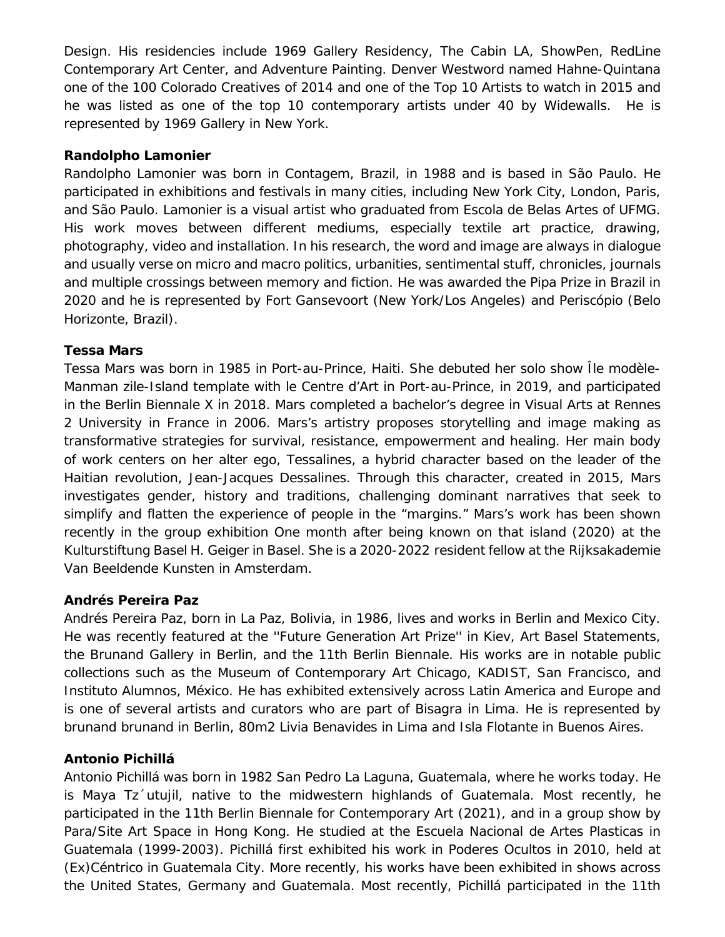Design. His residencies include 1969 Gallery Residency, The Cabin LA, ShowPen, RedLine Contemporary Art Center, and Adventure Painting. *Denver Westword* named Hahne-Quintana one of the 100 Colorado Creatives of 2014 and one of the Top 10 Artists to watch in 2015 and he was listed as one of the top 10 contemporary artists under 40 by Widewalls. He is represented by 1969 Gallery in New York.

### **Randolpho Lamonier**

Randolpho Lamonier was born in Contagem, Brazil, in 1988 and is based in São Paulo. He participated in exhibitions and festivals in many cities, including New York City, London, Paris, and São Paulo. Lamonier is a visual artist who graduated from Escola de Belas Artes of UFMG. His work moves between different mediums, especially textile art practice, drawing, photography, video and installation. In his research, the word and image are always in dialogue and usually verse on micro and macro politics, urbanities, sentimental stuff, chronicles, journals and multiple crossings between memory and fiction. He was awarded the Pipa Prize in Brazil in 2020 and he is represented by Fort Gansevoort (New York/Los Angeles) and Periscópio (Belo Horizonte, Brazil).

#### **Tessa Mars**

Tessa Mars was born in 1985 in Port-au-Prince, Haiti. She debuted her solo show *Île modèle-Manman zile-Island template* with le Centre d'Art in Port-au-Prince, in 2019, and participated in the Berlin Biennale X in 2018. Mars completed a bachelor's degree in Visual Arts at Rennes 2 University in France in 2006. Mars's artistry proposes storytelling and image making as transformative strategies for survival, resistance, empowerment and healing. Her main body of work centers on her alter ego, Tessalines, a hybrid character based on the leader of the Haitian revolution, Jean-Jacques Dessalines. Through this character, created in 2015, Mars investigates gender, history and traditions, challenging dominant narratives that seek to simplify and flatten the experience of people in the "margins." Mars's work has been shown recently in the group exhibition *One month after being known on that island* (2020) at the Kulturstiftung Basel H. Geiger in Basel. She is a 2020-2022 resident fellow at the Rijksakademie Van Beeldende Kunsten in Amsterdam.

#### **Andrés Pereira Paz**

Andrés Pereira Paz, born in La Paz, Bolivia, in 1986, lives and works in Berlin and Mexico City. He was recently featured at the ''Future Generation Art Prize'' in Kiev, Art Basel Statements, the Brunand Gallery in Berlin, and the 11th Berlin Biennale. His works are in notable public collections such as the Museum of Contemporary Art Chicago, KADIST, San Francisco, and Instituto Alumnos, México. He has exhibited extensively across Latin America and Europe and is one of several artists and curators who are part of Bisagra in Lima. He is represented by brunand brunand in Berlin, 80m2 Livia Benavides in Lima and Isla Flotante in Buenos Aires.

### **Antonio Pichillá**

Antonio Pichillá was born in 1982 San Pedro La Laguna, Guatemala, where he works today. He is Maya Tz´utujil, native to the midwestern highlands of Guatemala. Most recently, he participated in the 11th Berlin Biennale for Contemporary Art (2021), and in a group show by Para/Site Art Space in Hong Kong. He studied at the Escuela Nacional de Artes Plasticas in Guatemala (1999-2003). Pichillá first exhibited his work in *Poderes Ocultos* in 2010, held at (Ex)Céntrico in Guatemala City. More recently, his works have been exhibited in shows across the United States, Germany and Guatemala. Most recently, Pichillá participated in the 11th